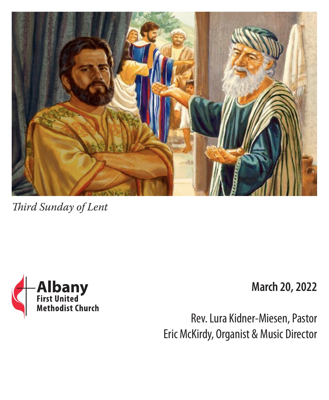

*Third Sunday of Lent*



**March 20, 2022**

Rev. Lura Kidner-Miesen, Pastor Eric McKirdy, Organist & Music Director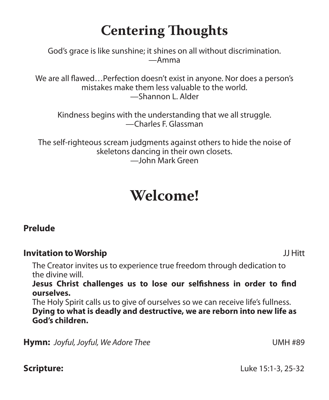# **Centering Thoughts**

God's grace is like sunshine; it shines on all without discrimination. —Amma

We are all flawed…Perfection doesn't exist in anyone. Nor does a person's mistakes make them less valuable to the world. —Shannon L. Alder

Kindness begins with the understanding that we all struggle. —Charles F. Glassman

The self-righteous scream judgments against others to hide the noise of skeletons dancing in their own closets. —John Mark Green

# **Welcome!**

## **Prelude**

## **Invitation to Worship** JJ Hitt

The Creator invites us to experience true freedom through dedication to the divine will.

**Jesus Christ challenges us to lose our selfishness in order to find ourselves.**

The Holy Spirit calls us to give of ourselves so we can receive life's fullness. **Dying to what is deadly and destructive, we are reborn into new life as God's children.**

**Hymn:** *Joyful, Joyful, We Adore Thee* **Limitary Control 100 MMH #89** 

**Scripture:** Luke 15:1-3, 25-32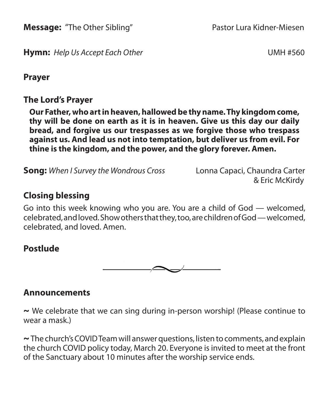**Message:** "The Other Sibling" Pastor Lura Kidner-Miesen

**Hymn:** *Help Us Accept Each Other* **UMH #560** 

**Prayer**

**The Lord's Prayer**

**Our Father, who art in heaven, hallowed be thy name. Thy kingdom come, thy will be done on earth as it is in heaven. Give us this day our daily bread, and forgive us our trespasses as we forgive those who trespass against us. And lead us not into temptation, but deliver us from evil. For thine is the kingdom, and the power, and the glory forever. Amen.**

**Song:** *When I Survey the Wondrous Cross*Lonna Capaci, Chaundra Carter

& Eric McKirdy

# **Closing blessing**

Go into this week knowing who you are. You are a child of God — welcomed, celebrated, and loved. Show others that they, too, are children of God — welcomed, celebrated, and loved. Amen.

# **Postlude**



## **Announcements**

**~** We celebrate that we can sing during in-person worship! (Please continue to wear a mask.)

**~**The church's COVID Team will answer questions, listen to comments, and explain the church COVID policy today, March 20. Everyone is invited to meet at the front of the Sanctuary about 10 minutes after the worship service ends.